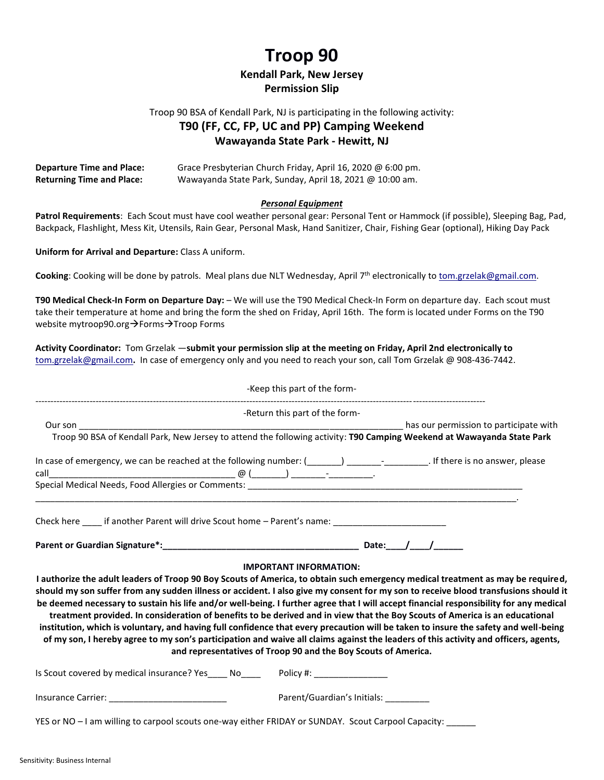# **Troop 90**

#### **Kendall Park, New Jersey Permission Slip**

### Troop 90 BSA of Kendall Park, NJ is participating in the following activity: **T90 (FF, CC, FP, UC and PP) Camping Weekend**

## **Wawayanda State Park - Hewitt, NJ**

| <b>Departure Time and Place:</b> | Grace Presbyterian Church Friday, April 16, 2020 @ 6:00 pm. |
|----------------------------------|-------------------------------------------------------------|
| <b>Returning Time and Place:</b> | Wawayanda State Park, Sunday, April 18, 2021 @ 10:00 am.    |

#### *Personal Equipment*

**Patrol Requirements**: Each Scout must have cool weather personal gear: Personal Tent or Hammock (if possible), Sleeping Bag, Pad, Backpack, Flashlight, Mess Kit, Utensils, Rain Gear, Personal Mask, Hand Sanitizer, Chair, Fishing Gear (optional), Hiking Day Pack

**Uniform for Arrival and Departure:** Class A uniform.

Cooking: Cooking will be done by patrols. Meal plans due NLT Wednesday, April 7<sup>th</sup> electronically to <u>tom.grzelak@gmail.com</u>.

**T90 Medical Check-In Form on Departure Day:** – We will use the T90 Medical Check-In Form on departure day. Each scout must take their temperature at home and bring the form the shed on Friday, April 16th. The form is located under Forms on the T90 website mytroop90.org >Forms >Troop Forms

**Activity Coordinator:** Tom Grzelak —**submit your permission slip at the meeting on Friday, April 2nd electronically to**  [tom.grzelak@gmail.com](mailto:tom.grzelak@gmail.com)**.** In case of emergency only and you need to reach your son, call Tom Grzelak @ 908-436-7442.

| -Keep this part of the form-                                                                                                                                                                                                                                                                                                                                                                                                                                                                                                                                                                                          |
|-----------------------------------------------------------------------------------------------------------------------------------------------------------------------------------------------------------------------------------------------------------------------------------------------------------------------------------------------------------------------------------------------------------------------------------------------------------------------------------------------------------------------------------------------------------------------------------------------------------------------|
| -Return this part of the form-                                                                                                                                                                                                                                                                                                                                                                                                                                                                                                                                                                                        |
| has our permission to participate with the summary and the same service of the service of the service of the s<br>Our son and the contract of the contract of the contract of the contract of the contract of the contract of the                                                                                                                                                                                                                                                                                                                                                                                     |
| Troop 90 BSA of Kendall Park, New Jersey to attend the following activity: T90 Camping Weekend at Wawayanda State Park                                                                                                                                                                                                                                                                                                                                                                                                                                                                                                |
|                                                                                                                                                                                                                                                                                                                                                                                                                                                                                                                                                                                                                       |
|                                                                                                                                                                                                                                                                                                                                                                                                                                                                                                                                                                                                                       |
|                                                                                                                                                                                                                                                                                                                                                                                                                                                                                                                                                                                                                       |
| Check here _____ if another Parent will drive Scout home - Parent's name: __________________________                                                                                                                                                                                                                                                                                                                                                                                                                                                                                                                  |
|                                                                                                                                                                                                                                                                                                                                                                                                                                                                                                                                                                                                                       |
| <b>IMPORTANT INFORMATION:</b>                                                                                                                                                                                                                                                                                                                                                                                                                                                                                                                                                                                         |
| I authorize the adult leaders of Troop 90 Boy Scouts of America, to obtain such emergency medical treatment as may be required,                                                                                                                                                                                                                                                                                                                                                                                                                                                                                       |
| should my son suffer from any sudden illness or accident. I also give my consent for my son to receive blood transfusions should it                                                                                                                                                                                                                                                                                                                                                                                                                                                                                   |
| be deemed necessary to sustain his life and/or well-being. I further agree that I will accept financial responsibility for any medical<br>treatment provided. In consideration of benefits to be derived and in view that the Boy Scouts of America is an educational<br>institution, which is voluntary, and having full confidence that every precaution will be taken to insure the safety and well-being<br>of my son, I hereby agree to my son's participation and waive all claims against the leaders of this activity and officers, agents,<br>and representatives of Troop 90 and the Boy Scouts of America. |
| Is Scout covered by medical insurance? Yes _____ No__________Policy #: _____________________________                                                                                                                                                                                                                                                                                                                                                                                                                                                                                                                  |
| Parent/Guardian's Initials: __________<br>Insurance Carrier: _____________________________                                                                                                                                                                                                                                                                                                                                                                                                                                                                                                                            |
| YES or NO - I am willing to carpool scouts one-way either FRIDAY or SUNDAY. Scout Carpool Capacity: _____                                                                                                                                                                                                                                                                                                                                                                                                                                                                                                             |